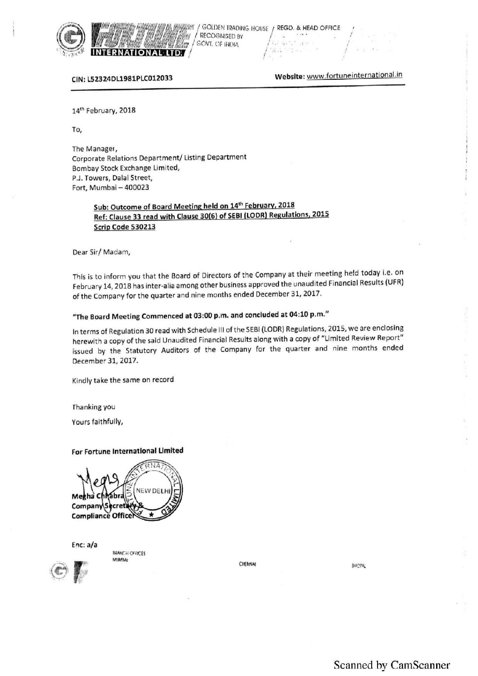

WW ANDREWS IN HEIGHT AND TO . UPHARITING<br>VANIME HIJ NIKEL - AND THE HIJ LINIEN HARD NGOLDEN IRADING HOUSE / REGD. & HEAD OFFICE THE TANK OF THE CONSED BY THE CONSENSED BY THE CONSENSED BY THE CONSENSED BY **INTERNATIONAL LTD.** 

CIN: L52324DL1981PLC012033 Webslte: www'fortuneinternational.in

,

14<sup>th</sup> February, 2018

To,

The Manager, Corporate Relations Department/ Listing Department Bombay Stock Exchange Limited, PJ. Towers, Dalal Street, Fort, Mumbai — 400023

### Sub: Outcome of Board Meeting held on 14<sup>th</sup> February, 2018 Ref: Clause 33 read with Clause 30(6) of SEBI (LODR) Regulations, 2015 Scrip Code 530213

Dear Sir/ Madam,

This is to inform you that the Board of Directors of the Company at their meeting held today i.e. on February 14, <sup>2018</sup> has inter-alia among other business approved the unaudited Financial Results (UFR) of the Company for the quarter and nine months ended December 31, 2017.

## "The Board Meeting Commenced at 03:00 p.m. and concluded at 04:10 pm."

In terms of Regulation <sup>30</sup> read with Schedule III of the SEBI (LODR) Regulations, 2015, we are enclosing herewith <sup>a</sup> copy of the said Unaudited Financial Results along with <sup>a</sup> copy of "Limited Review Report" issued by the Statutory Auditors of the Company for the quarter and nine months ended December 31, 2017.

Kindly take the same on record

Fhanking you

Yours faithfully,

#### For Fortune International Limited





**BRANCH OFFICES** VLIAN

CHENNAI BROPAL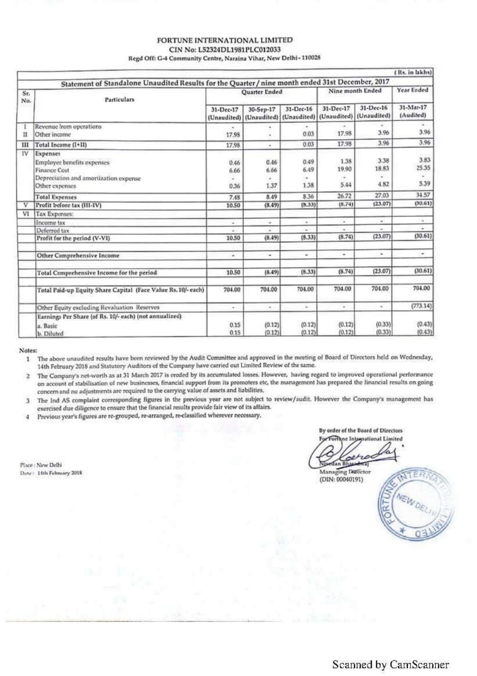#### FORTUNE INTERNATIONAL LIMITED CIN No: L52324DL1981PLC012033 Regd Off: G-4 Community Centre, Naraina Vihar, New Delhi-110028

|            |                                                                                                                          |                          |                           |                           |                            |                            | (Rs. in lakhs)             |
|------------|--------------------------------------------------------------------------------------------------------------------------|--------------------------|---------------------------|---------------------------|----------------------------|----------------------------|----------------------------|
|            | Statement of Standalone Unaudited Results for the Quarter / nine month ended 31st December, 2017                         |                          |                           |                           |                            |                            |                            |
| Sr.<br>No. | Particulars                                                                                                              | Quarter Ended            |                           |                           | Nine month Ended           |                            | Year Ended                 |
|            |                                                                                                                          | 31-Dec-17<br>(Unaudited) | 30-Sep-17<br>(Unaudited)  | 31-Dec-16<br>(Unaudited)  | 31-Dec-17<br>(Unaudited)   | 31-Dec-16<br>(Unaudited)   | 31-Mar-17<br>(Audited)     |
| п          | Revenue from operations<br>Other income                                                                                  | ٠<br>17.98               | ×                         | ٠<br>0.03                 | $\sim$<br>17.98            | 3.96                       | 3.96                       |
| ш          | Total Income (I+II)                                                                                                      | 17.98                    | ٠                         | 0.03                      | 17.98                      | 3.96                       | 3.96                       |
| 1V         | Expenses<br>Employee benefits expenses<br><b>Finance Cost</b><br>Depreciation and amortization expense<br>Other expenses | 0.46<br>6.66<br>0.36     | 0.46<br>6.66<br>×<br>1.37 | 0.49<br>6.49<br>٠<br>1.38 | 1.38<br>19.90<br>٠<br>5.44 | 3.38<br>18.83<br>۰<br>4.82 | 3.83<br>25.35<br>٠<br>5.39 |
|            | <b>Total Expenses</b>                                                                                                    | 7.48                     | 8.49                      | 8.36                      | 26.72                      | 27.03                      | 34.57                      |
| ν          | Profit before tax (III-IV)                                                                                               | 10.50                    | (8.49)                    | (8.33)                    | (8.74)                     | (23.07)                    | (30.61)                    |
| VI         | Tax Expenses:                                                                                                            |                          |                           |                           |                            |                            |                            |
|            | Income tax                                                                                                               | ٠                        | ٠                         | ٠                         | ×                          | ¥.                         | $\sim$                     |
|            | Deferred tax                                                                                                             |                          |                           | ٠                         |                            | a.                         | ٠                          |
|            | Profit for the period (V-VI)                                                                                             | 10.50                    | (8.49)                    | (8.33)                    | (8.74)                     | (23.07)                    | (30.61)                    |
|            | Other Comprehensive Income                                                                                               | ÷                        | ×                         | ۰                         | ۰                          | ¥                          | ٠                          |
|            | Total Comprehensive Income for the period                                                                                | 10.50                    | (8.49)                    | (8.33)                    | (8.74)                     | (23.07)                    | (30.61)                    |
|            | Total Paid-up Equity Share Capital (Face Value Rs. 10/- each)                                                            | 704.00                   | 704.00                    | 704.00                    | 704.00                     | 704.00                     | 704.00                     |
|            | Other Equity excluding Revaluation Reserves                                                                              | $\sim$                   | $\sim$                    | $\sim$                    | $\sim$                     | ۰                          | (773.14)                   |
|            | Earnings Per Share (of Rs. 10/- each) (not annualized)<br>a. Basic<br>b. Diluted                                         | 0.15<br>0.15             | (0.12)<br>(0.12)          | (0.12)<br>(0.12)          | (0.12)<br>(0.12)           | (0.33)<br>(0.33)           | (0.43)<br>(0.43)           |

Notes:

The above unaudited results have been reviewed by the Audit Committee and approved in the meeting of Board of Directors held on Wednesday,  $1$ 14th February 2018 and Statutory Auditors of the Company have carried out Limited Review of the same.

2 The Company's net-worth as at 31 March 2017 is eroded by its accumulated losses. However, having regard to improved operational performance on account of stabilisation of new businesses, financial support from its promoters etc, the management has prepared the financial results on going concern and no adjustments are required to the carrying value of assets and liabilities.

The Ind AS complaint corresponding figures in the previous year are not subject to review/audit. However the Company's management has  $\overline{3}$ exercised due diligence to ensure that the financial results provide fair view of its affairs.

Previous year's figures are re-grouped, re-arranged, re-classified wherever necessary.  $\frac{4}{3}$ 

Place: New Delhi Date: 14th February 2018

By order of the Board of Directors For Fortune Integrational Limited ١ū Dan Bhasadwa

Managing Director (DIN: 00040191)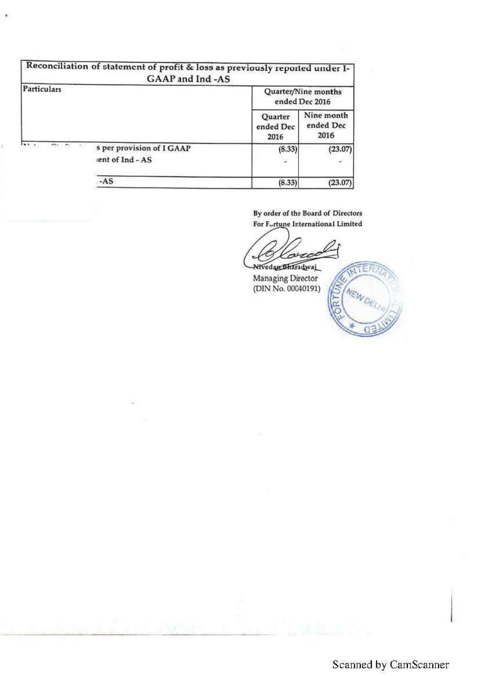|                                     | Reconciliation of statement of profit & loss as previously reported under I-<br>GAAP and Ind -AS |                                       |                                 |  |  |
|-------------------------------------|--------------------------------------------------------------------------------------------------|---------------------------------------|---------------------------------|--|--|
| Particulars                         |                                                                                                  | Quarter/Nine months<br>ended Dec 2016 |                                 |  |  |
|                                     |                                                                                                  | Quarter<br>ended Dec<br>2016          | Nine month<br>ended Dec<br>2016 |  |  |
| $\cdots$<br>$\frac{1}{2}$<br>$\sim$ | s per provision of I GAAP<br>lent of Ind - AS                                                    | (8.33)                                | (23.07)                         |  |  |
|                                     | -AS                                                                                              | (8.33)                                | (23.07)                         |  |  |

By order of the Board of Directors For Fortune International Limited

ruc Nivedan Bharadwaj

Managing Director<br>(DIN No. 00040191)